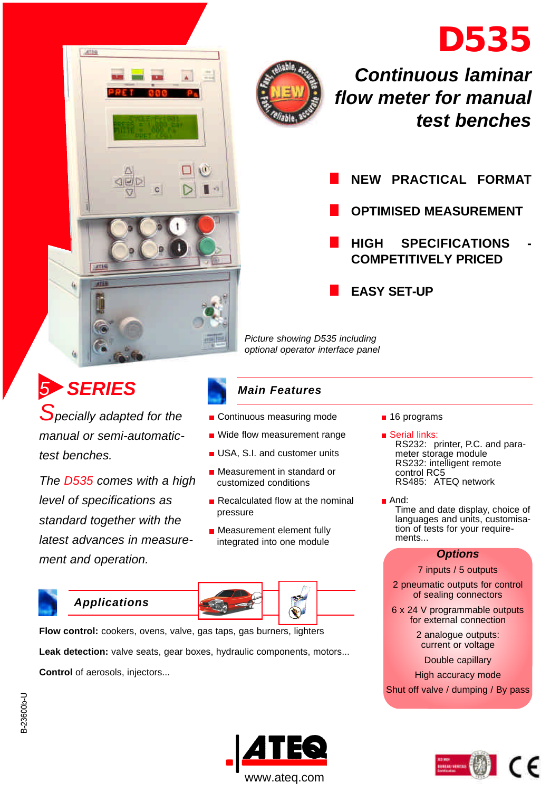





# *Continuous laminar flow meter for manual test benches*

**NEW PRACTICAL FORMAT OPTIMISED MEASUREMENT HIGH SPECIFICATIONS COMPETITIVELY PRICED EASY SET-UP**

*Picture showing D535 including optional operator interface panel*

# *5 SERIES*

*Specially adapted for the manual or semi-automatictest benches.*

*The D535 comes with a high level of specifications as standard together with the latest advances in measurement and operation.*

## *Main Features*

- Continuous measuring mode
- Wide flow measurement range
- USA, S.I. and customer units
- **Measurement in standard or** customized conditions
- Recalculated flow at the nominal pressure
- **Measurement element fully** integrated into one module



**Flow control:** cookers, ovens, valve, gas taps, gas burners, lighters Leak detection: valve seats, gear boxes, hydraulic components, motors... **Control** of aerosols, injectors...

- 16 programs
- **B** Serial links: RS232: printer, P.C. and parameter storage module RS232: intelligent remote control RC5 RS485: ATEQ network
- And:

Time and date display, choice of languages and units, customisation of tests for your requirements...

#### *Options*

#### 7 inputs / 5 outputs

2 pneumatic outputs for control of sealing connectors

6 x 24 V programmable outputs for external connection

> 2 analogue outputs: current or voltage

Double capillary

High accuracy mode Shut off valve / dumping / By pass